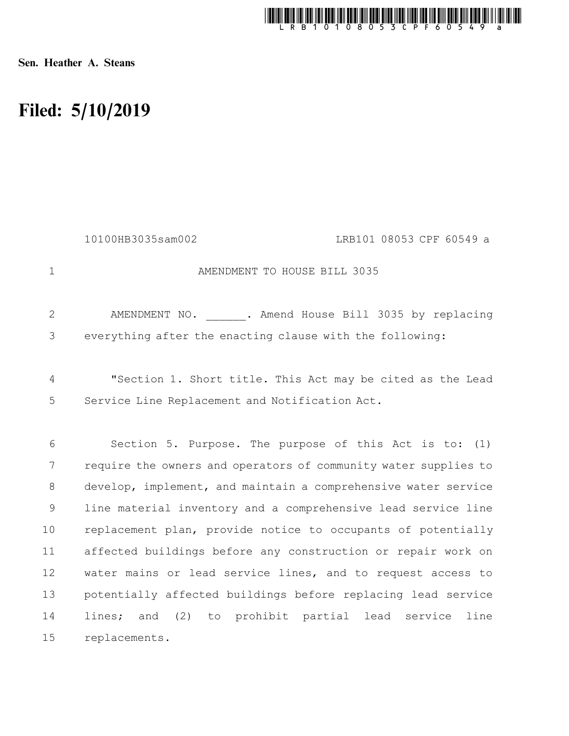

Sen. Heather A. Steans

## Filed: 5/10/2019

|              | 10100HB3035sam002<br>LRB101 08053 CPF 60549 a                   |
|--------------|-----------------------------------------------------------------|
| $\mathbf 1$  | AMENDMENT TO HOUSE BILL 3035                                    |
| $\mathbf{2}$ | AMENDMENT NO. . Amend House Bill 3035 by replacing              |
| 3            | everything after the enacting clause with the following:        |
| 4            | "Section 1. Short title. This Act may be cited as the Lead      |
| 5            | Service Line Replacement and Notification Act.                  |
| 6            | Section 5. Purpose. The purpose of this Act is to: (1)          |
| 7            | require the owners and operators of community water supplies to |
| $8\,$        | develop, implement, and maintain a comprehensive water service  |
| 9            | line material inventory and a comprehensive lead service line   |
| 10           | replacement plan, provide notice to occupants of potentially    |
| 11           | affected buildings before any construction or repair work on    |
| 12           | water mains or lead service lines, and to request access to     |
| 13           | potentially affected buildings before replacing lead service    |
| 14           | lines; and (2) to prohibit partial lead service<br>line         |
| 15           | replacements.                                                   |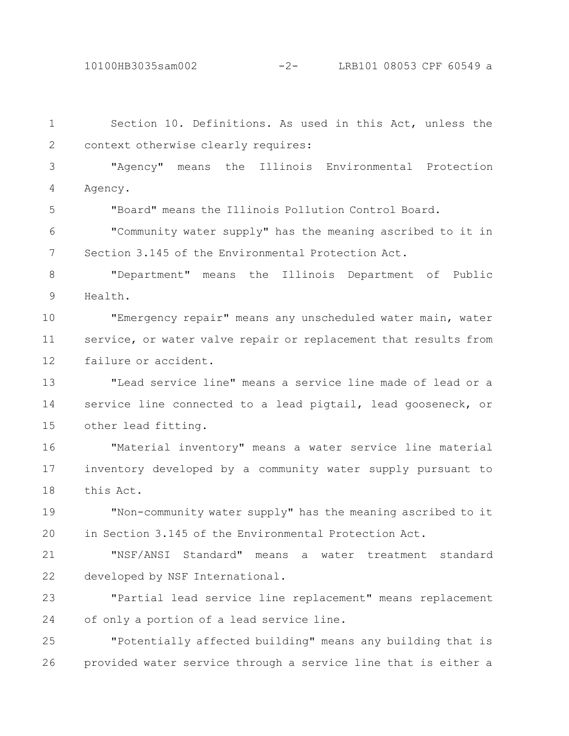10100HB3035sam002 -2- LRB101 08053 CPF 60549 a

Section 10. Definitions. As used in this Act, unless the context otherwise clearly requires: "Agency" means the Illinois Environmental Protection Agency. "Board" means the Illinois Pollution Control Board. "Community water supply" has the meaning ascribed to it in Section 3.145 of the Environmental Protection Act. "Department" means the Illinois Department of Public Health. "Emergency repair" means any unscheduled water main, water service, or water valve repair or replacement that results from failure or accident. "Lead service line" means a service line made of lead or a service line connected to a lead pigtail, lead gooseneck, or other lead fitting. "Material inventory" means a water service line material inventory developed by a community water supply pursuant to this Act. "Non-community water supply" has the meaning ascribed to it in Section 3.145 of the Environmental Protection Act. "NSF/ANSI Standard" means a water treatment standard developed by NSF International. "Partial lead service line replacement" means replacement of only a portion of a lead service line. "Potentially affected building" means any building that is provided water service through a service line that is either a 1 2 3 4 5 6 7 8 9 10 11 12 13 14 15 16 17 18 19 20 21 22 23 24 25 26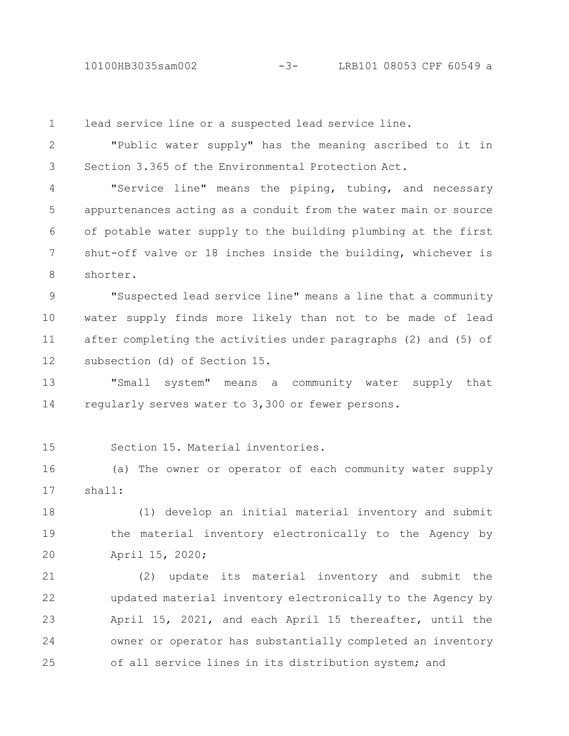10100HB3035sam002 -3- LRB101 08053 CPF 60549 a

lead service line or a suspected lead service line. 1

"Public water supply" has the meaning ascribed to it in Section 3.365 of the Environmental Protection Act. 2 3

"Service line" means the piping, tubing, and necessary appurtenances acting as a conduit from the water main or source of potable water supply to the building plumbing at the first shut-off valve or 18 inches inside the building, whichever is shorter. 4 5 6 7 8

"Suspected lead service line" means a line that a community water supply finds more likely than not to be made of lead after completing the activities under paragraphs (2) and (5) of subsection (d) of Section 15. 9 10 11 12

"Small system" means a community water supply that regularly serves water to 3,300 or fewer persons. 13 14

Section 15. Material inventories. 15

(a) The owner or operator of each community water supply shall: 16 17

(1) develop an initial material inventory and submit the material inventory electronically to the Agency by April 15, 2020; 18 19 20

(2) update its material inventory and submit the updated material inventory electronically to the Agency by April 15, 2021, and each April 15 thereafter, until the owner or operator has substantially completed an inventory of all service lines in its distribution system; and 21 22 23 24 25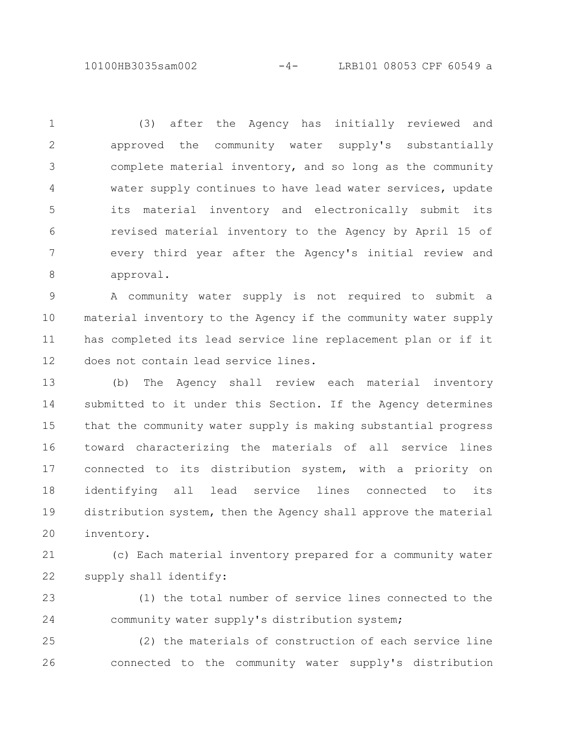10100HB3035sam002 -4- LRB101 08053 CPF 60549 a

(3) after the Agency has initially reviewed and approved the community water supply's substantially complete material inventory, and so long as the community water supply continues to have lead water services, update its material inventory and electronically submit its revised material inventory to the Agency by April 15 of every third year after the Agency's initial review and approval. 1 2 3 4 5 6 7 8

A community water supply is not required to submit a material inventory to the Agency if the community water supply has completed its lead service line replacement plan or if it does not contain lead service lines. 9 10 11 12

(b) The Agency shall review each material inventory submitted to it under this Section. If the Agency determines that the community water supply is making substantial progress toward characterizing the materials of all service lines connected to its distribution system, with a priority on identifying all lead service lines connected to its distribution system, then the Agency shall approve the material inventory. 13 14 15 16 17 18 19 20

(c) Each material inventory prepared for a community water supply shall identify: 21 22

(1) the total number of service lines connected to the community water supply's distribution system; 23 24

(2) the materials of construction of each service line connected to the community water supply's distribution 25 26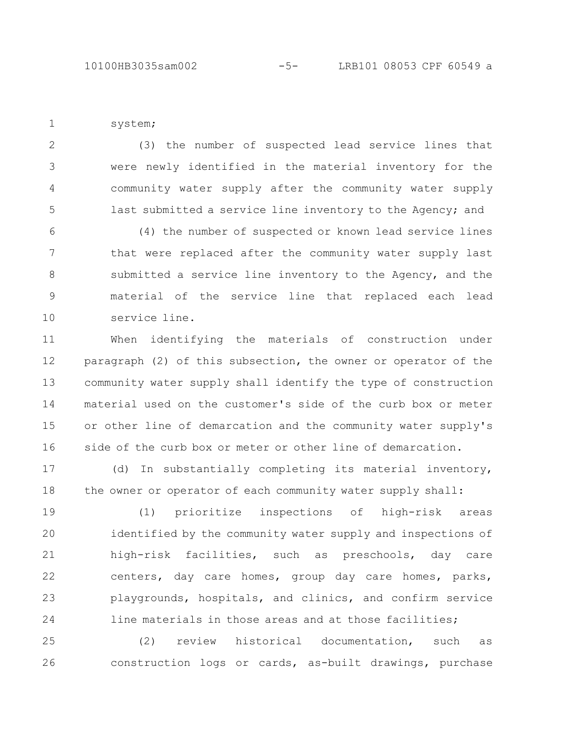system; 1

(3) the number of suspected lead service lines that were newly identified in the material inventory for the community water supply after the community water supply last submitted a service line inventory to the Agency; and 2 3 4 5

(4) the number of suspected or known lead service lines that were replaced after the community water supply last submitted a service line inventory to the Agency, and the material of the service line that replaced each lead service line. 6 7 8 9 10

When identifying the materials of construction under paragraph (2) of this subsection, the owner or operator of the community water supply shall identify the type of construction material used on the customer's side of the curb box or meter or other line of demarcation and the community water supply's side of the curb box or meter or other line of demarcation. 11 12 13 14 15 16

(d) In substantially completing its material inventory, the owner or operator of each community water supply shall: 17 18

(1) prioritize inspections of high-risk areas identified by the community water supply and inspections of high-risk facilities, such as preschools, day care centers, day care homes, group day care homes, parks, playgrounds, hospitals, and clinics, and confirm service line materials in those areas and at those facilities; 19 20 21 22 23 24

(2) review historical documentation, such as construction logs or cards, as-built drawings, purchase 25 26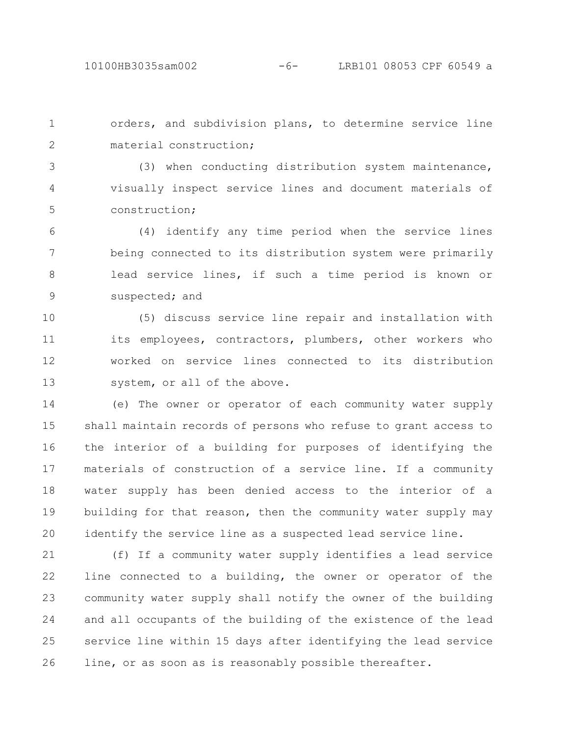orders, and subdivision plans, to determine service line material construction; 1 2

(3) when conducting distribution system maintenance, visually inspect service lines and document materials of construction; 3 4 5

(4) identify any time period when the service lines being connected to its distribution system were primarily lead service lines, if such a time period is known or suspected; and 6 7 8 9

(5) discuss service line repair and installation with its employees, contractors, plumbers, other workers who worked on service lines connected to its distribution system, or all of the above. 10 11 12 13

(e) The owner or operator of each community water supply shall maintain records of persons who refuse to grant access to the interior of a building for purposes of identifying the materials of construction of a service line. If a community water supply has been denied access to the interior of a building for that reason, then the community water supply may identify the service line as a suspected lead service line. 14 15 16 17 18 19 20

(f) If a community water supply identifies a lead service line connected to a building, the owner or operator of the community water supply shall notify the owner of the building and all occupants of the building of the existence of the lead service line within 15 days after identifying the lead service line, or as soon as is reasonably possible thereafter. 21 22 23 24 25 26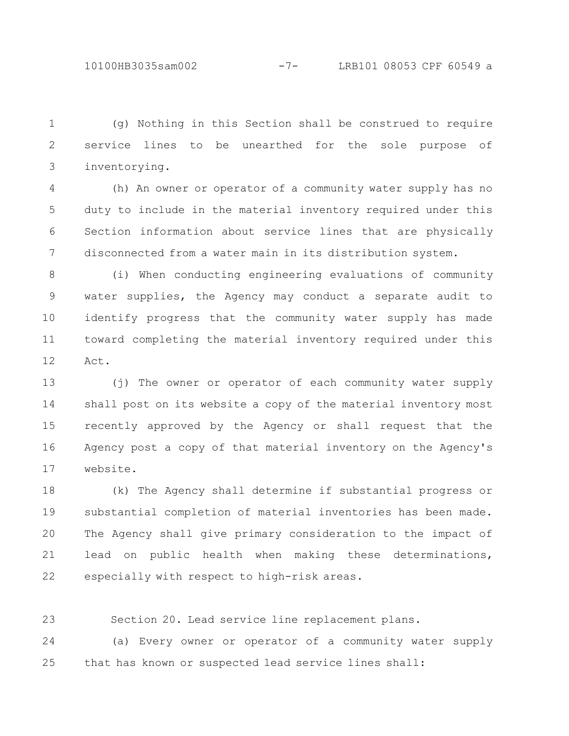(g) Nothing in this Section shall be construed to require service lines to be unearthed for the sole purpose of inventorying. 1 2 3

(h) An owner or operator of a community water supply has no duty to include in the material inventory required under this Section information about service lines that are physically disconnected from a water main in its distribution system. 4 5 6 7

(i) When conducting engineering evaluations of community water supplies, the Agency may conduct a separate audit to identify progress that the community water supply has made toward completing the material inventory required under this Act. 8 9 10 11 12

(j) The owner or operator of each community water supply shall post on its website a copy of the material inventory most recently approved by the Agency or shall request that the Agency post a copy of that material inventory on the Agency's website. 13 14 15 16 17

(k) The Agency shall determine if substantial progress or substantial completion of material inventories has been made. The Agency shall give primary consideration to the impact of lead on public health when making these determinations, especially with respect to high-risk areas. 18 19 20 21 22

Section 20. Lead service line replacement plans. 23

(a) Every owner or operator of a community water supply that has known or suspected lead service lines shall: 24 25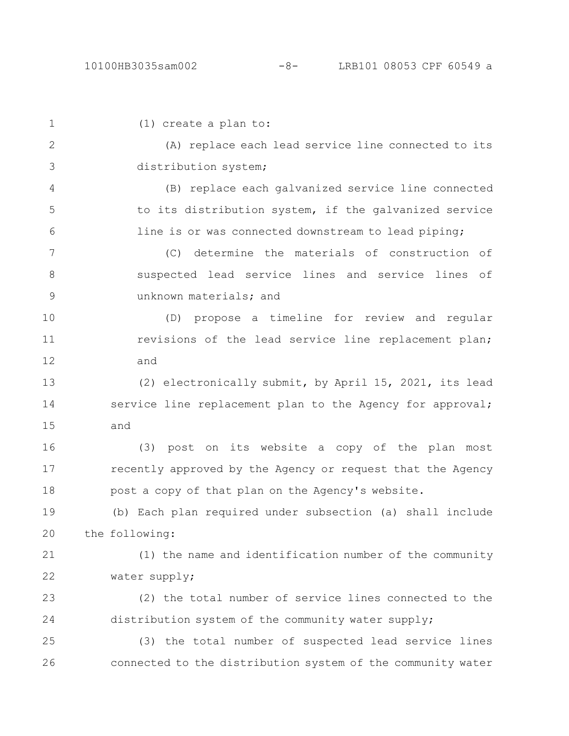| $\mathbf 1$ | $(1)$ create a plan to:                                     |
|-------------|-------------------------------------------------------------|
| 2           | (A) replace each lead service line connected to its         |
| 3           | distribution system;                                        |
| 4           | (B) replace each galvanized service line connected          |
| 5           | to its distribution system, if the galvanized service       |
| 6           | line is or was connected downstream to lead piping;         |
| 7           | (C) determine the materials of construction of              |
| 8           | suspected lead service lines and service lines of           |
| $\mathsf 9$ | unknown materials; and                                      |
| 10          | (D) propose a timeline for review and regular               |
| 11          | revisions of the lead service line replacement plan;        |
| 12          | and                                                         |
| 13          | (2) electronically submit, by April 15, 2021, its lead      |
| 14          | service line replacement plan to the Agency for approval;   |
| 15          | and                                                         |
| 16          | (3) post on its website a copy of the plan most             |
| 17          | recently approved by the Agency or request that the Agency  |
| 18          | post a copy of that plan on the Agency's website.           |
| 19          | (b) Each plan required under subsection (a) shall include   |
| 20          | the following:                                              |
| 21          | (1) the name and identification number of the community     |
| 22          | water supply;                                               |
| 23          | (2) the total number of service lines connected to the      |
| 24          | distribution system of the community water supply;          |
| 25          | (3) the total number of suspected lead service lines        |
| 26          | connected to the distribution system of the community water |
|             |                                                             |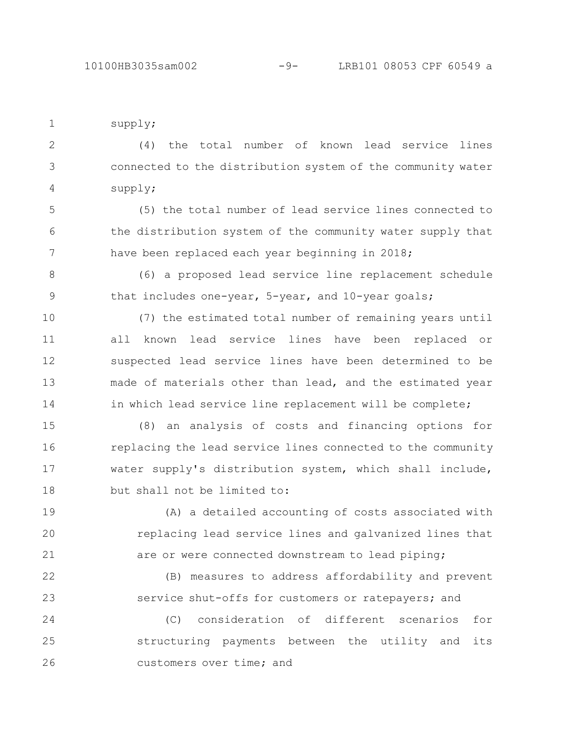4

5

8

9

supply; (4) the total number of known lead service lines connected to the distribution system of the community water 1 2 3

supply; (5) the total number of lead service lines connected to the distribution system of the community water supply that

have been replaced each year beginning in 2018; 6 7

(6) a proposed lead service line replacement schedule that includes one-year, 5-year, and 10-year goals;

(7) the estimated total number of remaining years until all known lead service lines have been replaced or suspected lead service lines have been determined to be made of materials other than lead, and the estimated year in which lead service line replacement will be complete; 10 11 12 13 14

(8) an analysis of costs and financing options for replacing the lead service lines connected to the community water supply's distribution system, which shall include, but shall not be limited to: 15 16 17 18

(A) a detailed accounting of costs associated with replacing lead service lines and galvanized lines that are or were connected downstream to lead piping; 19 20 21

(B) measures to address affordability and prevent service shut-offs for customers or ratepayers; and 22 23

(C) consideration of different scenarios for structuring payments between the utility and its customers over time; and 24 25 26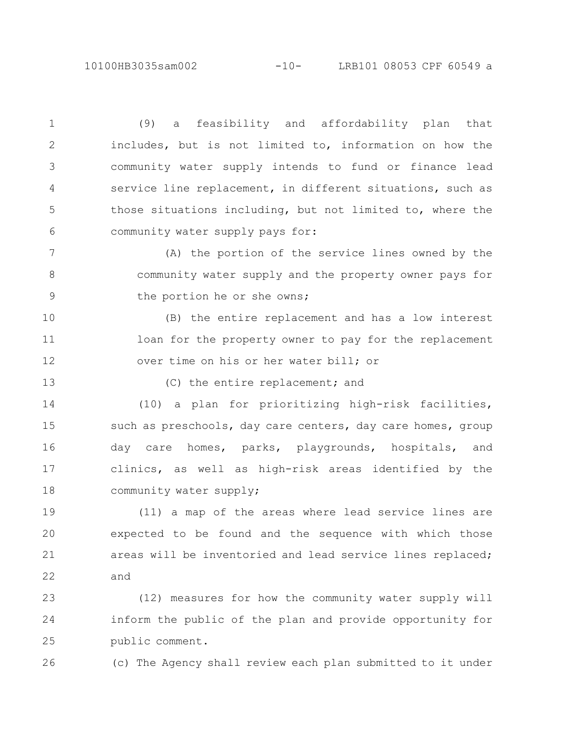10100HB3035sam002 -10- LRB101 08053 CPF 60549 a

(9) a feasibility and affordability plan that includes, but is not limited to, information on how the community water supply intends to fund or finance lead service line replacement, in different situations, such as those situations including, but not limited to, where the community water supply pays for: 1 2 3 4 5 6

(A) the portion of the service lines owned by the community water supply and the property owner pays for the portion he or she owns; 7 8 9

(B) the entire replacement and has a low interest loan for the property owner to pay for the replacement over time on his or her water bill; or 10 11 12

13

(C) the entire replacement; and

(10) a plan for prioritizing high-risk facilities, such as preschools, day care centers, day care homes, group day care homes, parks, playgrounds, hospitals, and clinics, as well as high-risk areas identified by the community water supply; 14 15 16 17 18

(11) a map of the areas where lead service lines are expected to be found and the sequence with which those areas will be inventoried and lead service lines replaced; and 19 20 21 22

(12) measures for how the community water supply will inform the public of the plan and provide opportunity for public comment. 23 24 25

26

(c) The Agency shall review each plan submitted to it under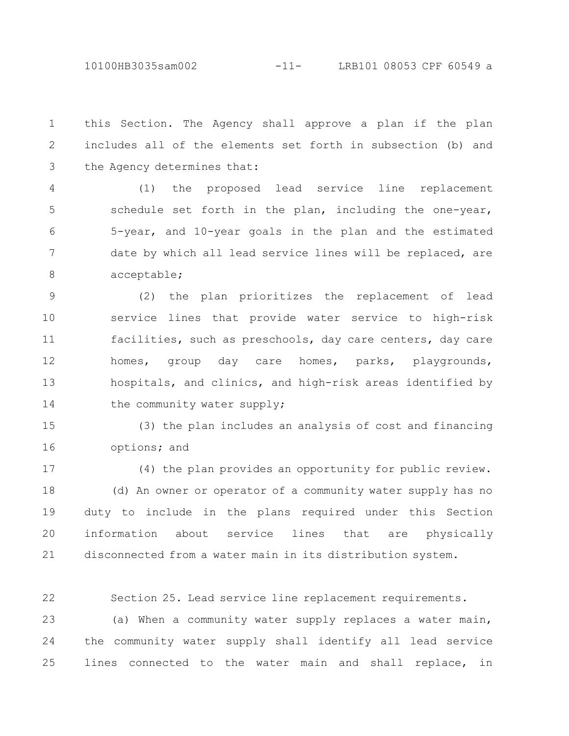10100HB3035sam002 -11- LRB101 08053 CPF 60549 a

this Section. The Agency shall approve a plan if the plan includes all of the elements set forth in subsection (b) and the Agency determines that: 1 2 3

(1) the proposed lead service line replacement schedule set forth in the plan, including the one-year, 5-year, and 10-year goals in the plan and the estimated date by which all lead service lines will be replaced, are acceptable; 4 5 6 7 8

(2) the plan prioritizes the replacement of lead service lines that provide water service to high-risk facilities, such as preschools, day care centers, day care homes, group day care homes, parks, playgrounds, hospitals, and clinics, and high-risk areas identified by the community water supply; 9 10 11 12 13 14

(3) the plan includes an analysis of cost and financing options; and 15 16

(4) the plan provides an opportunity for public review. (d) An owner or operator of a community water supply has no duty to include in the plans required under this Section information about service lines that are physically disconnected from a water main in its distribution system. 17 18 19 20 21

Section 25. Lead service line replacement requirements. 22

(a) When a community water supply replaces a water main, the community water supply shall identify all lead service lines connected to the water main and shall replace, in 23 24 25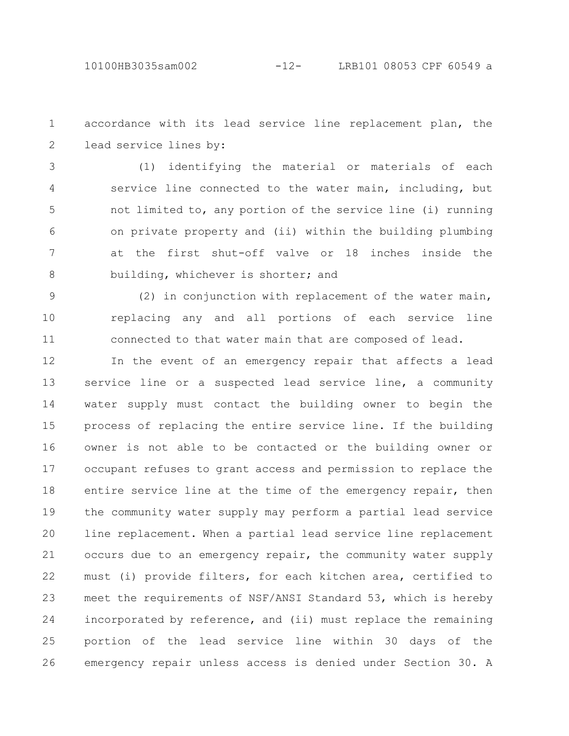accordance with its lead service line replacement plan, the lead service lines by: 1 2

(1) identifying the material or materials of each service line connected to the water main, including, but not limited to, any portion of the service line (i) running on private property and (ii) within the building plumbing at the first shut-off valve or 18 inches inside the building, whichever is shorter; and 3 4 5 6 7 8

(2) in conjunction with replacement of the water main, replacing any and all portions of each service line connected to that water main that are composed of lead. 9 10 11

In the event of an emergency repair that affects a lead service line or a suspected lead service line, a community water supply must contact the building owner to begin the process of replacing the entire service line. If the building owner is not able to be contacted or the building owner or occupant refuses to grant access and permission to replace the entire service line at the time of the emergency repair, then the community water supply may perform a partial lead service line replacement. When a partial lead service line replacement occurs due to an emergency repair, the community water supply must (i) provide filters, for each kitchen area, certified to meet the requirements of NSF/ANSI Standard 53, which is hereby incorporated by reference, and (ii) must replace the remaining portion of the lead service line within 30 days of the emergency repair unless access is denied under Section 30. A 12 13 14 15 16 17 18 19 20 21 22 23 24 25 26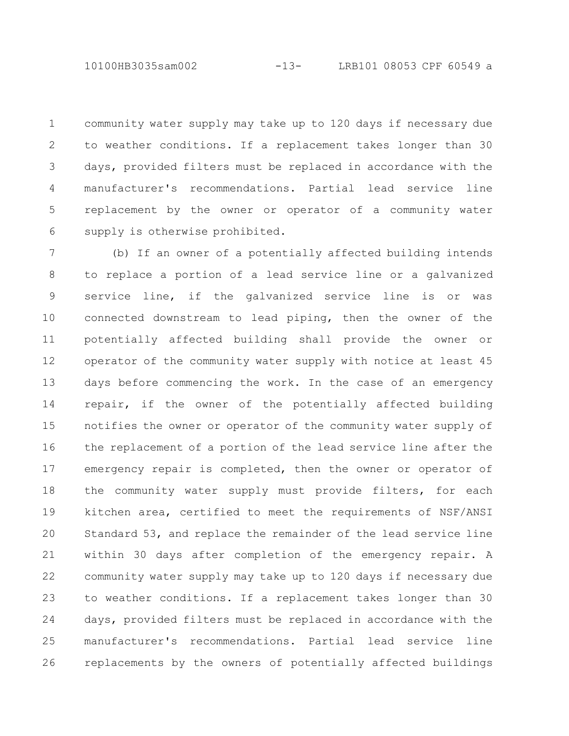10100HB3035sam002 -13- LRB101 08053 CPF 60549 a

community water supply may take up to 120 days if necessary due to weather conditions. If a replacement takes longer than 30 days, provided filters must be replaced in accordance with the manufacturer's recommendations. Partial lead service line replacement by the owner or operator of a community water supply is otherwise prohibited. 1 2 3 4 5 6

(b) If an owner of a potentially affected building intends to replace a portion of a lead service line or a galvanized service line, if the galvanized service line is or was connected downstream to lead piping, then the owner of the potentially affected building shall provide the owner or operator of the community water supply with notice at least 45 days before commencing the work. In the case of an emergency repair, if the owner of the potentially affected building notifies the owner or operator of the community water supply of the replacement of a portion of the lead service line after the emergency repair is completed, then the owner or operator of the community water supply must provide filters, for each kitchen area, certified to meet the requirements of NSF/ANSI Standard 53, and replace the remainder of the lead service line within 30 days after completion of the emergency repair. A community water supply may take up to 120 days if necessary due to weather conditions. If a replacement takes longer than 30 days, provided filters must be replaced in accordance with the manufacturer's recommendations. Partial lead service line replacements by the owners of potentially affected buildings 7 8 9 10 11 12 13 14 15 16 17 18 19 20 21 22 23 24 25 26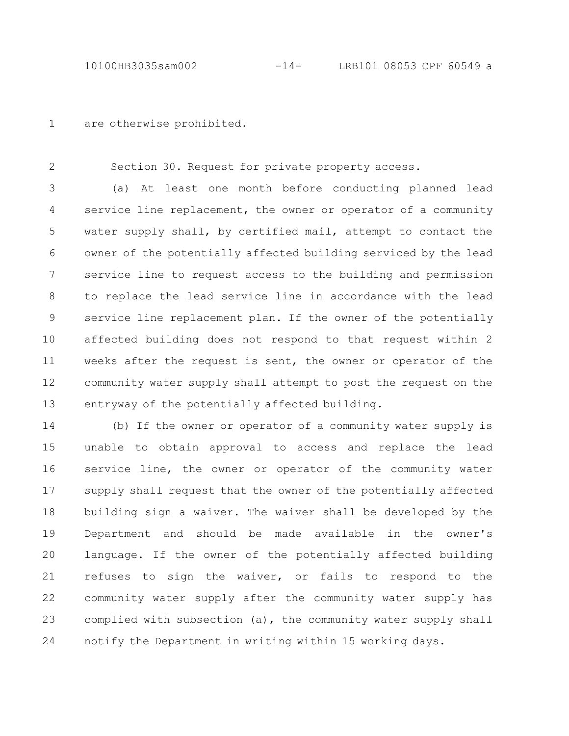are otherwise prohibited. 1

Section 30. Request for private property access. 2

(a) At least one month before conducting planned lead service line replacement, the owner or operator of a community water supply shall, by certified mail, attempt to contact the owner of the potentially affected building serviced by the lead service line to request access to the building and permission to replace the lead service line in accordance with the lead service line replacement plan. If the owner of the potentially affected building does not respond to that request within 2 weeks after the request is sent, the owner or operator of the community water supply shall attempt to post the request on the entryway of the potentially affected building. 3 4 5 6 7 8 9 10 11 12 13

(b) If the owner or operator of a community water supply is unable to obtain approval to access and replace the lead service line, the owner or operator of the community water supply shall request that the owner of the potentially affected building sign a waiver. The waiver shall be developed by the Department and should be made available in the owner's language. If the owner of the potentially affected building refuses to sign the waiver, or fails to respond to the community water supply after the community water supply has complied with subsection (a), the community water supply shall notify the Department in writing within 15 working days. 14 15 16 17 18 19 20 21 22 23 24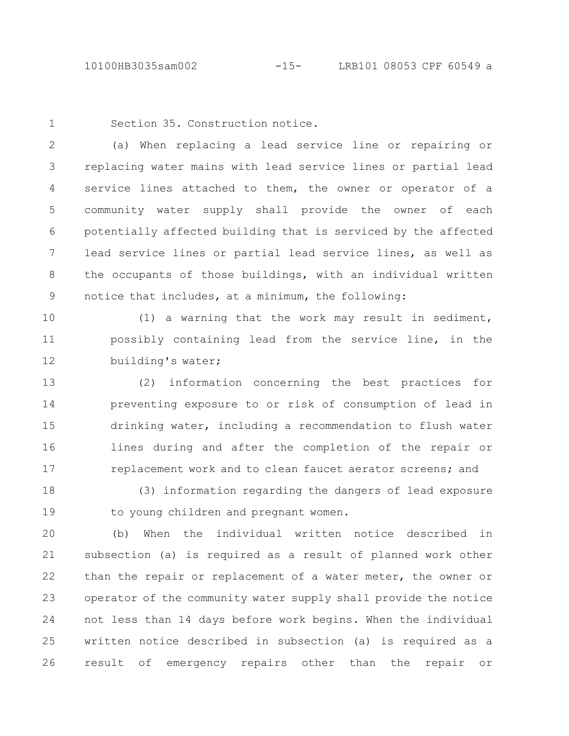10100HB3035sam002 -15- LRB101 08053 CPF 60549 a

1

Section 35. Construction notice.

(a) When replacing a lead service line or repairing or replacing water mains with lead service lines or partial lead service lines attached to them, the owner or operator of a community water supply shall provide the owner of each potentially affected building that is serviced by the affected lead service lines or partial lead service lines, as well as the occupants of those buildings, with an individual written notice that includes, at a minimum, the following: 2 3 4 5 6 7 8 9

(1) a warning that the work may result in sediment, possibly containing lead from the service line, in the building's water; 10 11 12

(2) information concerning the best practices for preventing exposure to or risk of consumption of lead in drinking water, including a recommendation to flush water lines during and after the completion of the repair or replacement work and to clean faucet aerator screens; and 13 14 15 16 17

(3) information regarding the dangers of lead exposure to young children and pregnant women. 18 19

(b) When the individual written notice described in subsection (a) is required as a result of planned work other than the repair or replacement of a water meter, the owner or operator of the community water supply shall provide the notice not less than 14 days before work begins. When the individual written notice described in subsection (a) is required as a result of emergency repairs other than the repair or 20 21 22 23 24 25 26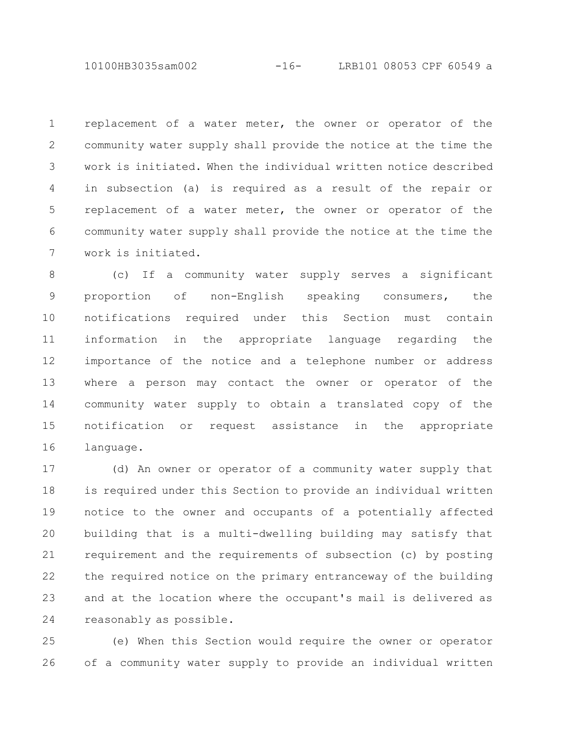10100HB3035sam002 -16- LRB101 08053 CPF 60549 a

replacement of a water meter, the owner or operator of the community water supply shall provide the notice at the time the work is initiated. When the individual written notice described in subsection (a) is required as a result of the repair or replacement of a water meter, the owner or operator of the community water supply shall provide the notice at the time the work is initiated. 1 2 3 4 5 6 7

(c) If a community water supply serves a significant proportion of non-English speaking consumers, the notifications required under this Section must contain information in the appropriate language regarding the importance of the notice and a telephone number or address where a person may contact the owner or operator of the community water supply to obtain a translated copy of the notification or request assistance in the appropriate language. 8 9 10 11 12 13 14 15 16

(d) An owner or operator of a community water supply that is required under this Section to provide an individual written notice to the owner and occupants of a potentially affected building that is a multi-dwelling building may satisfy that requirement and the requirements of subsection (c) by posting the required notice on the primary entranceway of the building and at the location where the occupant's mail is delivered as reasonably as possible. 17 18 19 20 21 22 23 24

(e) When this Section would require the owner or operator of a community water supply to provide an individual written 25 26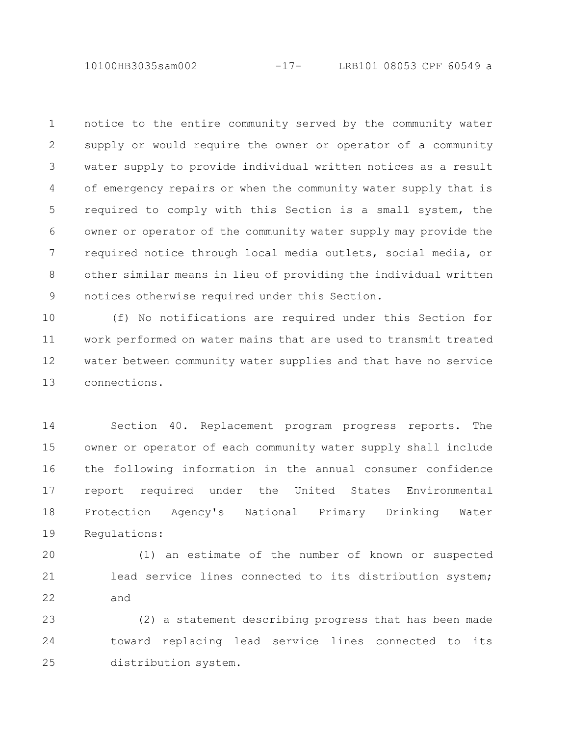notice to the entire community served by the community water supply or would require the owner or operator of a community water supply to provide individual written notices as a result of emergency repairs or when the community water supply that is required to comply with this Section is a small system, the owner or operator of the community water supply may provide the required notice through local media outlets, social media, or other similar means in lieu of providing the individual written notices otherwise required under this Section. 1 2 3 4 5 6 7 8 9

(f) No notifications are required under this Section for work performed on water mains that are used to transmit treated water between community water supplies and that have no service connections. 10 11 12 13

Section 40. Replacement program progress reports. The owner or operator of each community water supply shall include the following information in the annual consumer confidence report required under the United States Environmental Protection Agency's National Primary Drinking Water Regulations: 14 15 16 17 18 19

(1) an estimate of the number of known or suspected lead service lines connected to its distribution system; and 20 21 22

(2) a statement describing progress that has been made toward replacing lead service lines connected to its distribution system. 23 24 25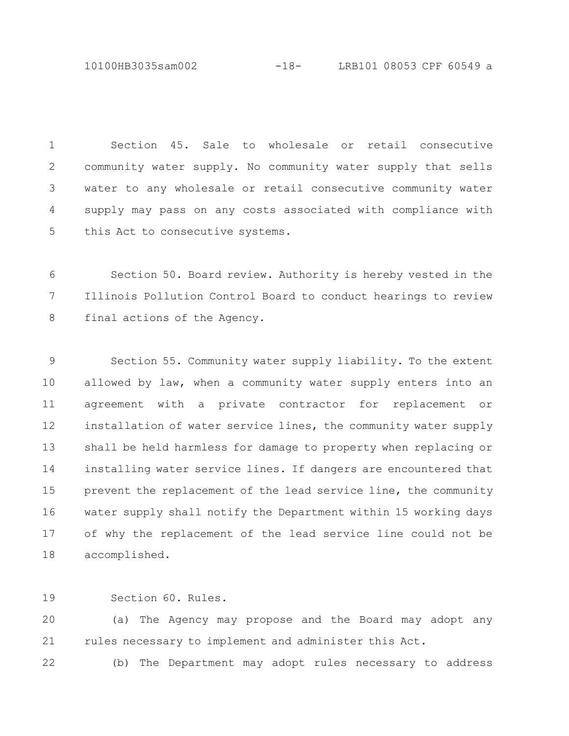10100HB3035sam002 -18- LRB101 08053 CPF 60549 a

Section 45. Sale to wholesale or retail consecutive community water supply. No community water supply that sells water to any wholesale or retail consecutive community water supply may pass on any costs associated with compliance with this Act to consecutive systems. 1 2 3 4 5

Section 50. Board review. Authority is hereby vested in the Illinois Pollution Control Board to conduct hearings to review final actions of the Agency. 6 7 8

Section 55. Community water supply liability. To the extent allowed by law, when a community water supply enters into an agreement with a private contractor for replacement or installation of water service lines, the community water supply shall be held harmless for damage to property when replacing or installing water service lines. If dangers are encountered that prevent the replacement of the lead service line, the community water supply shall notify the Department within 15 working days of why the replacement of the lead service line could not be accomplished. 9 10 11 12 13 14 15 16 17 18

Section 60. Rules. 19

(a) The Agency may propose and the Board may adopt any rules necessary to implement and administer this Act. 20 21

(b) The Department may adopt rules necessary to address 22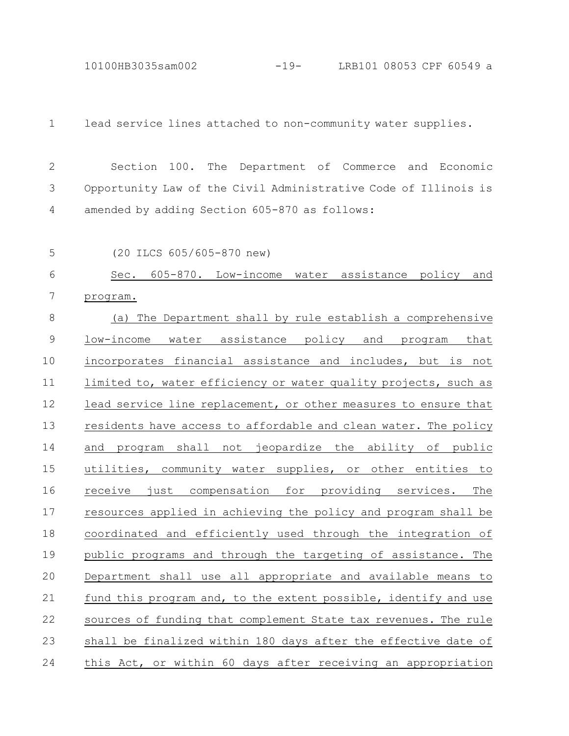10100HB3035sam002 -19- LRB101 08053 CPF 60549 a

lead service lines attached to non-community water supplies. 1

Section 100. The Department of Commerce and Economic Opportunity Law of the Civil Administrative Code of Illinois is amended by adding Section 605-870 as follows: 2 3 4

5

(20 ILCS 605/605-870 new)

Sec. 605-870. Low-income water assistance policy and program. 6 7

(a) The Department shall by rule establish a comprehensive low-income water assistance policy and program that incorporates financial assistance and includes, but is not limited to, water efficiency or water quality projects, such as lead service line replacement, or other measures to ensure that residents have access to affordable and clean water. The policy and program shall not jeopardize the ability of public utilities, community water supplies, or other entities to receive just compensation for providing services. The resources applied in achieving the policy and program shall be coordinated and efficiently used through the integration of public programs and through the targeting of assistance. The Department shall use all appropriate and available means to fund this program and, to the extent possible, identify and use sources of funding that complement State tax revenues. The rule shall be finalized within 180 days after the effective date of this Act, or within 60 days after receiving an appropriation 8 9 10 11 12 13 14 15 16 17 18 19 20 21 22 23 24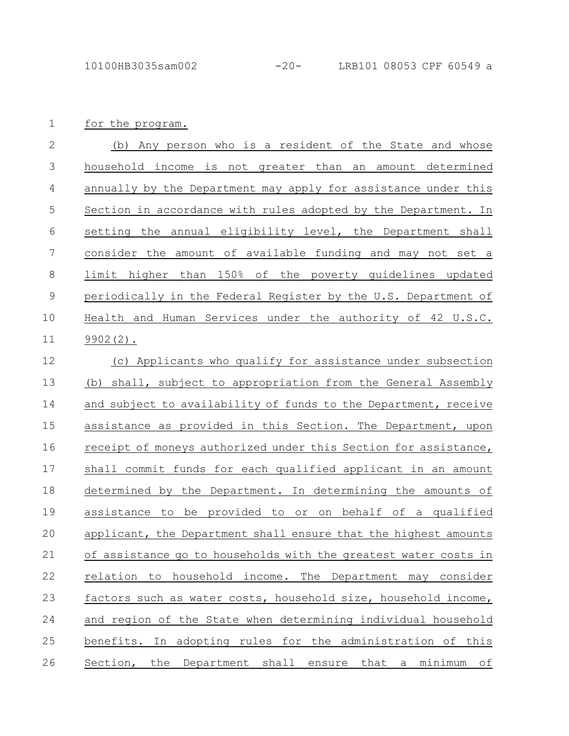for the program. 1

(b) Any person who is a resident of the State and whose household income is not greater than an amount determined annually by the Department may apply for assistance under this Section in accordance with rules adopted by the Department. In setting the annual eligibility level, the Department shall consider the amount of available funding and may not set a limit higher than 150% of the poverty guidelines updated periodically in the Federal Register by the U.S. Department of Health and Human Services under the authority of 42 U.S.C. 9902(2). 2 3 4 5 6 7 8 9 10 11

(c) Applicants who qualify for assistance under subsection (b) shall, subject to appropriation from the General Assembly and subject to availability of funds to the Department, receive assistance as provided in this Section. The Department, upon receipt of moneys authorized under this Section for assistance, shall commit funds for each qualified applicant in an amount determined by the Department. In determining the amounts of assistance to be provided to or on behalf of a qualified applicant, the Department shall ensure that the highest amounts of assistance go to households with the greatest water costs in relation to household income. The Department may consider factors such as water costs, household size, household income, and region of the State when determining individual household benefits. In adopting rules for the administration of this Section, the Department shall ensure that a minimum of 12 13 14 15 16 17 18 19 20 21 22 23 24 25 26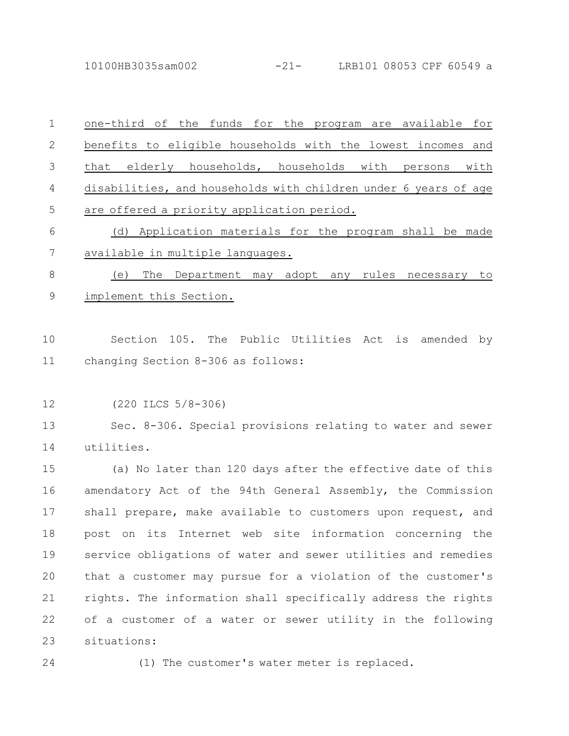10100HB3035sam002 -21- LRB101 08053 CPF 60549 a

one-third of the funds for the program are available for benefits to eligible households with the lowest incomes and that elderly households, households with persons with disabilities, and households with children under 6 years of age are offered a priority application period. (d) Application materials for the program shall be made available in multiple languages. (e) The Department may adopt any rules necessary to implement this Section. Section 105. The Public Utilities Act is amended by changing Section 8-306 as follows: (220 ILCS 5/8-306) Sec. 8-306. Special provisions relating to water and sewer utilities. (a) No later than 120 days after the effective date of this amendatory Act of the 94th General Assembly, the Commission shall prepare, make available to customers upon request, and post on its Internet web site information concerning the service obligations of water and sewer utilities and remedies that a customer may pursue for a violation of the customer's rights. The information shall specifically address the rights of a customer of a water or sewer utility in the following 1 2 3 4 5 6 7 8 9 10 11 12 13 14 15 16 17 18 19 20 21 22

situations: 23

24

(1) The customer's water meter is replaced.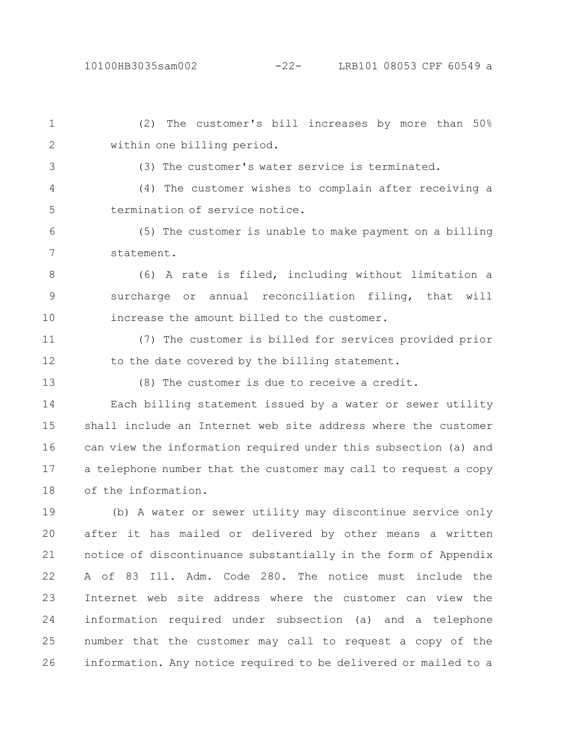(2) The customer's bill increases by more than 50% within one billing period. 1 2

3

(3) The customer's water service is terminated.

(4) The customer wishes to complain after receiving a termination of service notice. 4 5

(5) The customer is unable to make payment on a billing statement. 6 7

(6) A rate is filed, including without limitation a surcharge or annual reconciliation filing, that will increase the amount billed to the customer. 8 9 10

(7) The customer is billed for services provided prior to the date covered by the billing statement. 11 12

13

(8) The customer is due to receive a credit.

Each billing statement issued by a water or sewer utility shall include an Internet web site address where the customer can view the information required under this subsection (a) and a telephone number that the customer may call to request a copy of the information. 14 15 16 17 18

(b) A water or sewer utility may discontinue service only after it has mailed or delivered by other means a written notice of discontinuance substantially in the form of Appendix A of 83 Ill. Adm. Code 280. The notice must include the Internet web site address where the customer can view the information required under subsection (a) and a telephone number that the customer may call to request a copy of the information. Any notice required to be delivered or mailed to a 19 20 21 22 23 24 25 26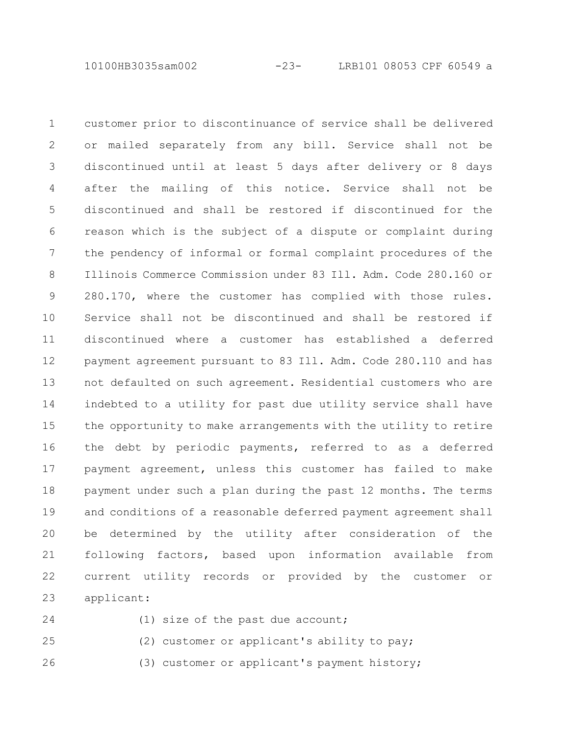10100HB3035sam002 -23- LRB101 08053 CPF 60549 a

customer prior to discontinuance of service shall be delivered or mailed separately from any bill. Service shall not be discontinued until at least 5 days after delivery or 8 days after the mailing of this notice. Service shall not be discontinued and shall be restored if discontinued for the reason which is the subject of a dispute or complaint during the pendency of informal or formal complaint procedures of the Illinois Commerce Commission under 83 Ill. Adm. Code 280.160 or 280.170, where the customer has complied with those rules. Service shall not be discontinued and shall be restored if discontinued where a customer has established a deferred payment agreement pursuant to 83 Ill. Adm. Code 280.110 and has not defaulted on such agreement. Residential customers who are indebted to a utility for past due utility service shall have the opportunity to make arrangements with the utility to retire the debt by periodic payments, referred to as a deferred payment agreement, unless this customer has failed to make payment under such a plan during the past 12 months. The terms and conditions of a reasonable deferred payment agreement shall be determined by the utility after consideration of the following factors, based upon information available from current utility records or provided by the customer or applicant: 1 2 3 4 5 6 7 8 9 10 11 12 13 14 15 16 17 18 19 20 21 22 23

24

(1) size of the past due account;

(2) customer or applicant's ability to pay; 25

(3) customer or applicant's payment history; 26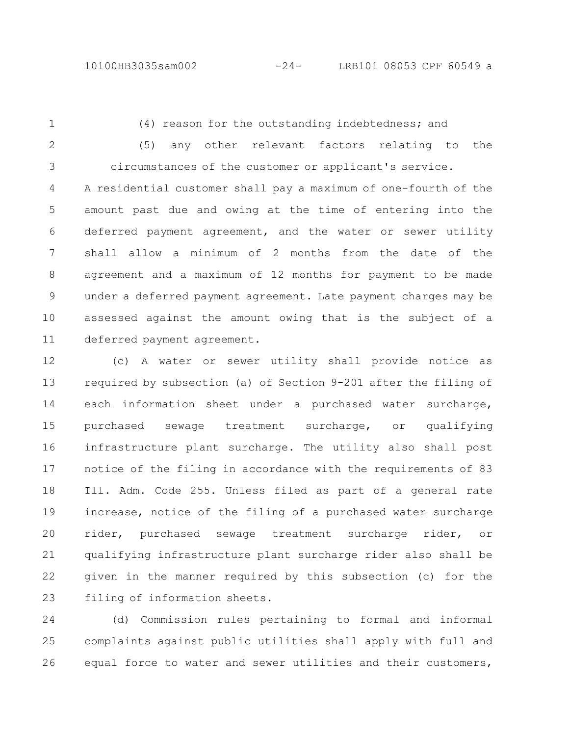1

2

3

(4) reason for the outstanding indebtedness; and

(5) any other relevant factors relating to the circumstances of the customer or applicant's service.

A residential customer shall pay a maximum of one-fourth of the amount past due and owing at the time of entering into the deferred payment agreement, and the water or sewer utility shall allow a minimum of 2 months from the date of the agreement and a maximum of 12 months for payment to be made under a deferred payment agreement. Late payment charges may be assessed against the amount owing that is the subject of a deferred payment agreement. 4 5 6 7 8 9 10 11

(c) A water or sewer utility shall provide notice as required by subsection (a) of Section 9-201 after the filing of each information sheet under a purchased water surcharge, purchased sewage treatment surcharge, or qualifying infrastructure plant surcharge. The utility also shall post notice of the filing in accordance with the requirements of 83 Ill. Adm. Code 255. Unless filed as part of a general rate increase, notice of the filing of a purchased water surcharge rider, purchased sewage treatment surcharge rider, or qualifying infrastructure plant surcharge rider also shall be given in the manner required by this subsection (c) for the filing of information sheets. 12 13 14 15 16 17 18 19 20 21 22 23

(d) Commission rules pertaining to formal and informal complaints against public utilities shall apply with full and equal force to water and sewer utilities and their customers, 24 25 26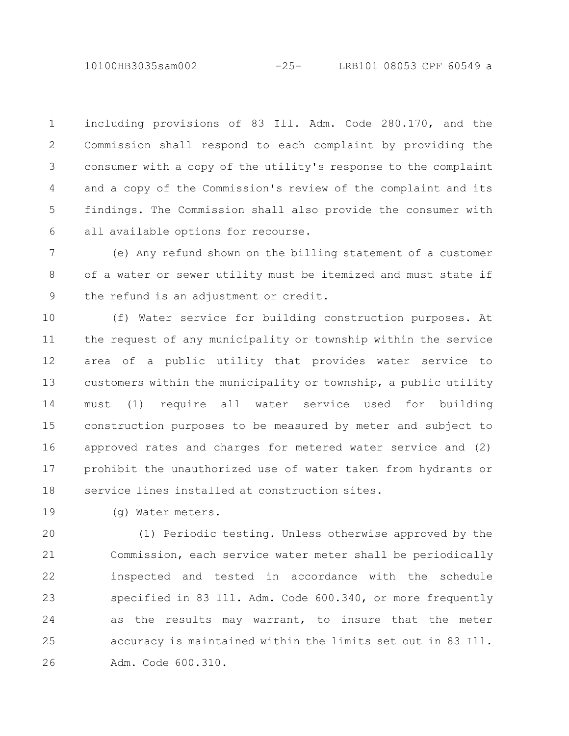10100HB3035sam002 -25- LRB101 08053 CPF 60549 a

including provisions of 83 Ill. Adm. Code 280.170, and the Commission shall respond to each complaint by providing the consumer with a copy of the utility's response to the complaint and a copy of the Commission's review of the complaint and its findings. The Commission shall also provide the consumer with all available options for recourse. 1 2 3 4 5 6

(e) Any refund shown on the billing statement of a customer of a water or sewer utility must be itemized and must state if the refund is an adjustment or credit. 7 8 9

(f) Water service for building construction purposes. At the request of any municipality or township within the service area of a public utility that provides water service to customers within the municipality or township, a public utility must (1) require all water service used for building construction purposes to be measured by meter and subject to approved rates and charges for metered water service and (2) prohibit the unauthorized use of water taken from hydrants or service lines installed at construction sites. 10 11 12 13 14 15 16 17 18

(g) Water meters. 19

(1) Periodic testing. Unless otherwise approved by the Commission, each service water meter shall be periodically inspected and tested in accordance with the schedule specified in 83 Ill. Adm. Code 600.340, or more frequently as the results may warrant, to insure that the meter accuracy is maintained within the limits set out in 83 Ill. Adm. Code 600.310. 20 21 22 23 24 25 26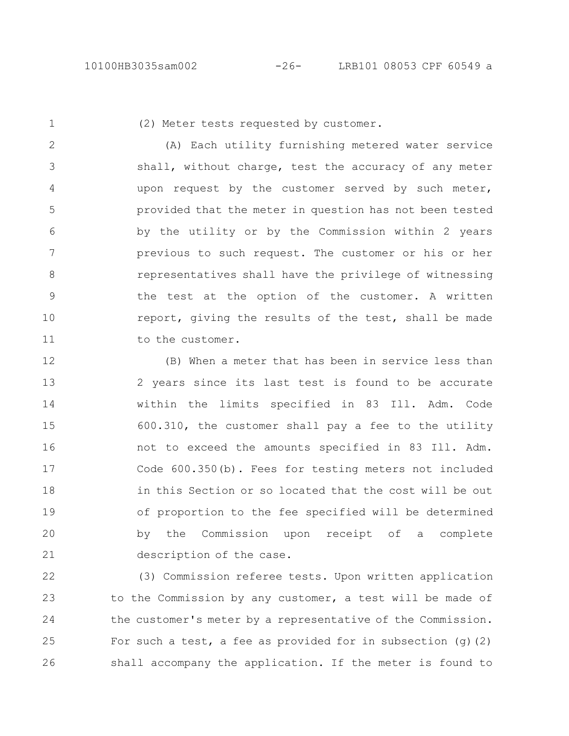1

(2) Meter tests requested by customer.

(A) Each utility furnishing metered water service shall, without charge, test the accuracy of any meter upon request by the customer served by such meter, provided that the meter in question has not been tested by the utility or by the Commission within 2 years previous to such request. The customer or his or her representatives shall have the privilege of witnessing the test at the option of the customer. A written report, giving the results of the test, shall be made to the customer. 2 3 4 5 6 7 8 9 10 11

(B) When a meter that has been in service less than 2 years since its last test is found to be accurate within the limits specified in 83 Ill. Adm. Code 600.310, the customer shall pay a fee to the utility not to exceed the amounts specified in 83 Ill. Adm. Code 600.350(b). Fees for testing meters not included in this Section or so located that the cost will be out of proportion to the fee specified will be determined by the Commission upon receipt of a complete description of the case. 12 13 14 15 16 17 18 19 20 21

(3) Commission referee tests. Upon written application to the Commission by any customer, a test will be made of the customer's meter by a representative of the Commission. For such a test, a fee as provided for in subsection  $(q)(2)$ shall accompany the application. If the meter is found to 22 23 24 25 26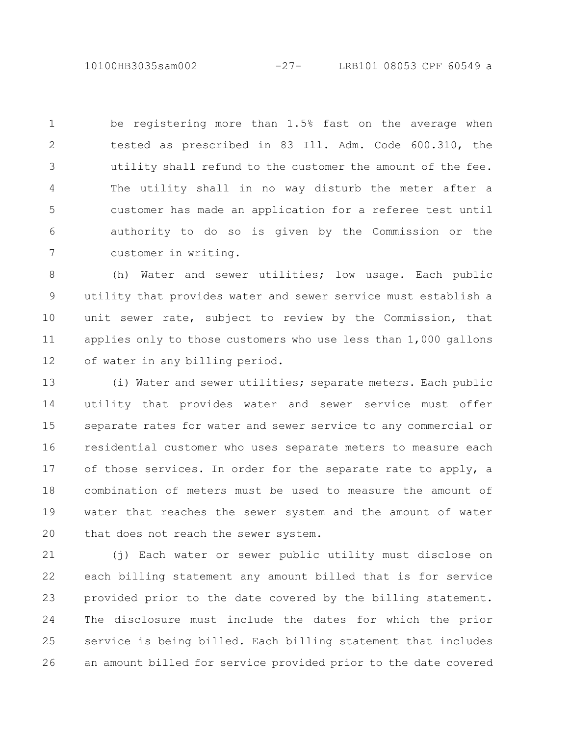10100HB3035sam002 -27- LRB101 08053 CPF 60549 a

be registering more than 1.5% fast on the average when tested as prescribed in 83 Ill. Adm. Code 600.310, the utility shall refund to the customer the amount of the fee. The utility shall in no way disturb the meter after a customer has made an application for a referee test until authority to do so is given by the Commission or the customer in writing. 1 2 3 4 5 6 7

(h) Water and sewer utilities; low usage. Each public utility that provides water and sewer service must establish a unit sewer rate, subject to review by the Commission, that applies only to those customers who use less than 1,000 gallons of water in any billing period. 8 9 10 11 12

(i) Water and sewer utilities; separate meters. Each public utility that provides water and sewer service must offer separate rates for water and sewer service to any commercial or residential customer who uses separate meters to measure each of those services. In order for the separate rate to apply, a combination of meters must be used to measure the amount of water that reaches the sewer system and the amount of water that does not reach the sewer system. 13 14 15 16 17 18 19 20

(j) Each water or sewer public utility must disclose on each billing statement any amount billed that is for service provided prior to the date covered by the billing statement. The disclosure must include the dates for which the prior service is being billed. Each billing statement that includes an amount billed for service provided prior to the date covered 21 22 23 24 25 26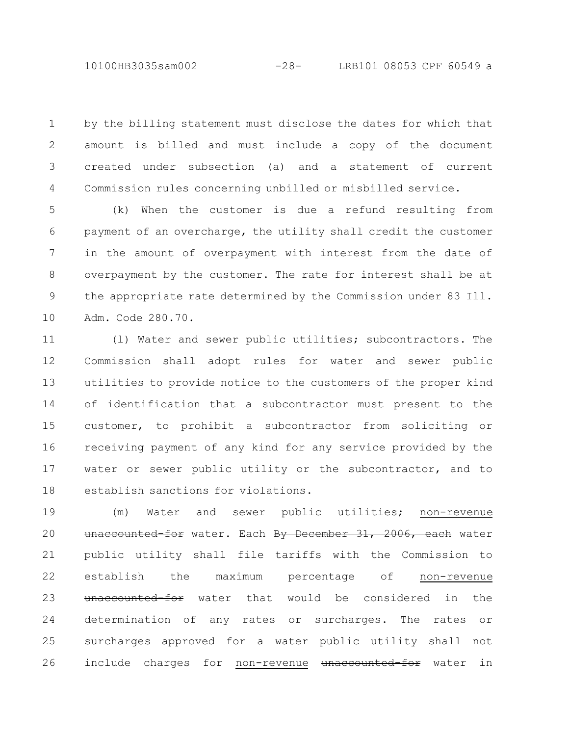by the billing statement must disclose the dates for which that amount is billed and must include a copy of the document created under subsection (a) and a statement of current Commission rules concerning unbilled or misbilled service. 1 2 3 4

(k) When the customer is due a refund resulting from payment of an overcharge, the utility shall credit the customer in the amount of overpayment with interest from the date of overpayment by the customer. The rate for interest shall be at the appropriate rate determined by the Commission under 83 Ill. Adm. Code 280.70. 5 6 7 8 9 10

(l) Water and sewer public utilities; subcontractors. The Commission shall adopt rules for water and sewer public utilities to provide notice to the customers of the proper kind of identification that a subcontractor must present to the customer, to prohibit a subcontractor from soliciting or receiving payment of any kind for any service provided by the water or sewer public utility or the subcontractor, and to establish sanctions for violations. 11 12 13 14 15 16 17 18

(m) Water and sewer public utilities; non-revenue unaccounted-for water. Each By December 31, 2006, each water public utility shall file tariffs with the Commission to establish the maximum percentage of non-revenue unaccounted-for water that would be considered in the determination of any rates or surcharges. The rates or surcharges approved for a water public utility shall not include charges for non-revenue unaccounted for water in 19 20 21 22 23 24 25 26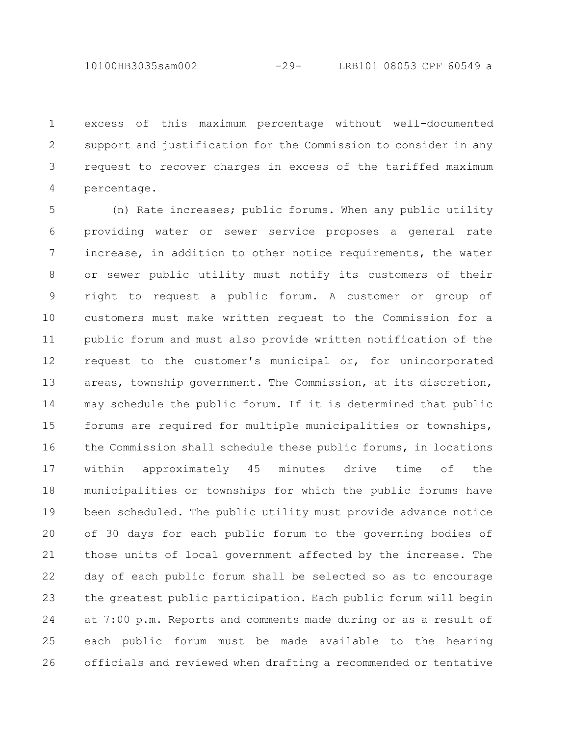excess of this maximum percentage without well-documented support and justification for the Commission to consider in any request to recover charges in excess of the tariffed maximum percentage. 1 2 3 4

(n) Rate increases; public forums. When any public utility providing water or sewer service proposes a general rate increase, in addition to other notice requirements, the water or sewer public utility must notify its customers of their right to request a public forum. A customer or group of customers must make written request to the Commission for a public forum and must also provide written notification of the request to the customer's municipal or, for unincorporated areas, township government. The Commission, at its discretion, may schedule the public forum. If it is determined that public forums are required for multiple municipalities or townships, the Commission shall schedule these public forums, in locations within approximately 45 minutes drive time of the municipalities or townships for which the public forums have been scheduled. The public utility must provide advance notice of 30 days for each public forum to the governing bodies of those units of local government affected by the increase. The day of each public forum shall be selected so as to encourage the greatest public participation. Each public forum will begin at 7:00 p.m. Reports and comments made during or as a result of each public forum must be made available to the hearing officials and reviewed when drafting a recommended or tentative 5 6 7 8 9 10 11 12 13 14 15 16 17 18 19 20 21 22 23 24 25 26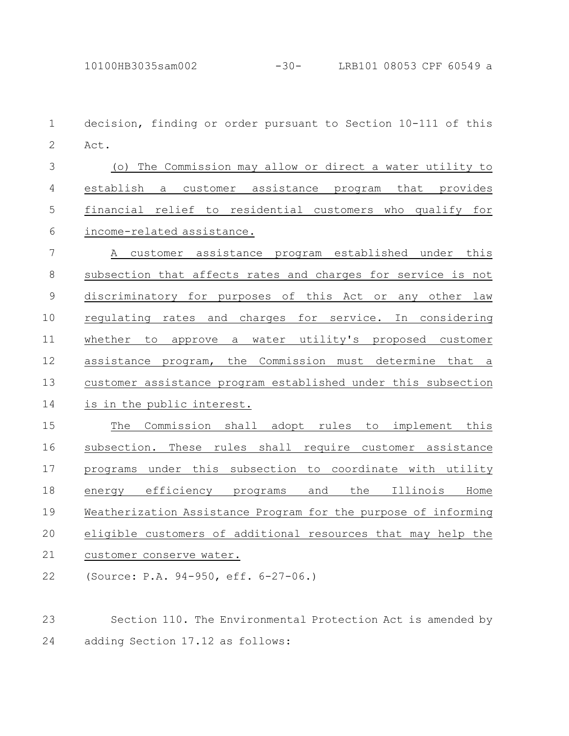decision, finding or order pursuant to Section 10-111 of this Act. (o) The Commission may allow or direct a water utility to establish a customer assistance program that provides financial relief to residential customers who qualify for income-related assistance. A customer assistance program established under this subsection that affects rates and charges for service is not discriminatory for purposes of this Act or any other law regulating rates and charges for service. In considering whether to approve a water utility's proposed customer assistance program, the Commission must determine that a customer assistance program established under this subsection is in the public interest. The Commission shall adopt rules to implement this subsection. These rules shall require customer assistance programs under this subsection to coordinate with utility energy efficiency programs and the Illinois Home Weatherization Assistance Program for the purpose of informing eligible customers of additional resources that may help the customer conserve water. (Source: P.A. 94-950, eff. 6-27-06.) 1 2 3 4 5 6 7 8 9 10 11 12 13 14 15 16 17 18 19 20 21 22

Section 110. The Environmental Protection Act is amended by adding Section 17.12 as follows: 23 24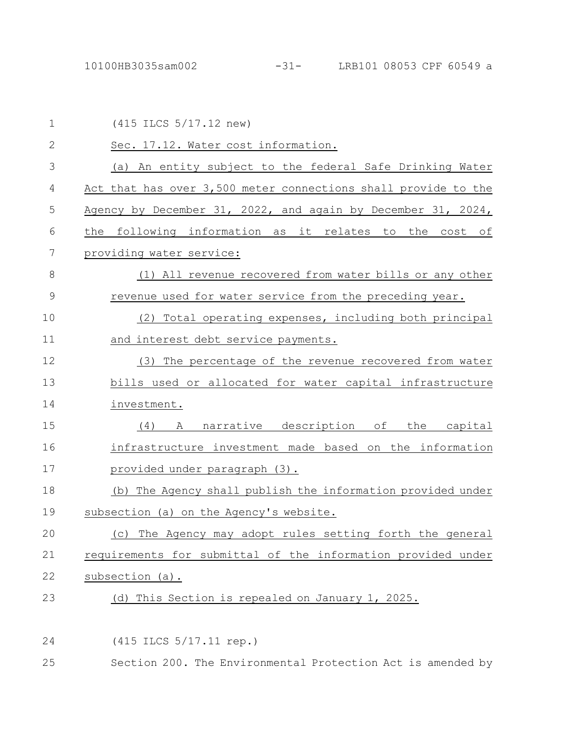| 1            | (415 ILCS 5/17.12 new)                                         |
|--------------|----------------------------------------------------------------|
| $\mathbf{2}$ | Sec. 17.12. Water cost information.                            |
| 3            | (a) An entity subject to the federal Safe Drinking Water       |
| 4            | Act that has over 3,500 meter connections shall provide to the |
| 5            | Agency by December 31, 2022, and again by December 31, 2024,   |
| 6            | the following information as it relates to the cost of         |
| 7            | providing water service:                                       |
| 8            | (1) All revenue recovered from water bills or any other        |
| 9            | revenue used for water service from the preceding year.        |
| 10           | (2) Total operating expenses, including both principal         |
| 11           | and interest debt service payments.                            |
| 12           | (3) The percentage of the revenue recovered from water         |
| 13           | bills used or allocated for water capital infrastructure       |
| 14           | investment.                                                    |
| 15           | A narrative description of the capital<br>(4)                  |
| 16           | infrastructure investment made based on the information        |
| 17           | provided under paragraph (3).                                  |
| 18           | (b) The Agency shall publish the information provided under    |
| 19           | subsection (a) on the Agency's website.                        |
| 20           | The Agency may adopt rules setting forth the general<br>(C)    |
| 21           | requirements for submittal of the information provided under   |
| 22           | subsection (a).                                                |
| 23           | (d) This Section is repealed on January 1, 2025.               |
|              |                                                                |
| 24           | (415 ILCS 5/17.11 rep.)                                        |
|              |                                                                |

25 Section 200. The Environmental Protection Act is amended by